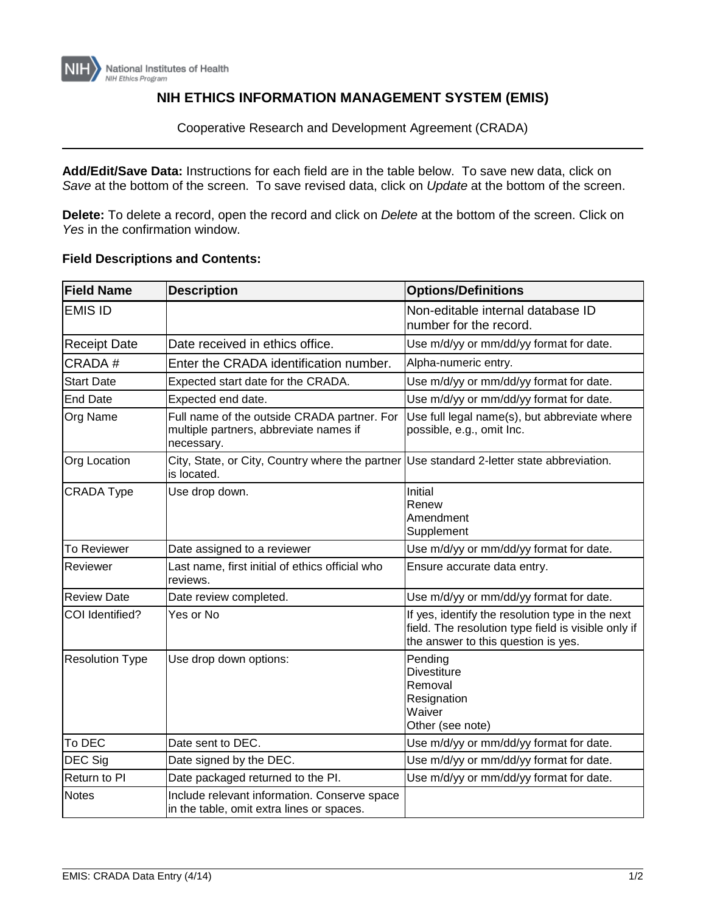

## **NIH ETHICS INFORMATION MANAGEMENT SYSTEM (EMIS)**

Cooperative Research and Development Agreement (CRADA)

**Add/Edit/Save Data:** Instructions for each field are in the table below. To save new data, click on *Save* at the bottom of the screen. To save revised data, click on *Update* at the bottom of the screen.

**Delete:** To delete a record, open the record and click on *Delete* at the bottom of the screen. Click on *Yes* in the confirmation window.

## **Field Descriptions and Contents:**

| <b>Field Name</b>      | <b>Description</b>                                                                                  | <b>Options/Definitions</b>                                                                                                                     |
|------------------------|-----------------------------------------------------------------------------------------------------|------------------------------------------------------------------------------------------------------------------------------------------------|
| <b>EMIS ID</b>         |                                                                                                     | Non-editable internal database ID<br>number for the record.                                                                                    |
| <b>Receipt Date</b>    | Date received in ethics office.                                                                     | Use m/d/yy or mm/dd/yy format for date.                                                                                                        |
| CRADA#                 | Enter the CRADA identification number.                                                              | Alpha-numeric entry.                                                                                                                           |
| <b>Start Date</b>      | Expected start date for the CRADA.                                                                  | Use m/d/yy or mm/dd/yy format for date.                                                                                                        |
| <b>End Date</b>        | Expected end date.                                                                                  | Use m/d/yy or mm/dd/yy format for date.                                                                                                        |
| <b>Org Name</b>        | Full name of the outside CRADA partner. For<br>multiple partners, abbreviate names if<br>necessary. | Use full legal name(s), but abbreviate where<br>possible, e.g., omit Inc.                                                                      |
| <b>Org Location</b>    | City, State, or City, Country where the partner<br>is located.                                      | Use standard 2-letter state abbreviation.                                                                                                      |
| <b>CRADA Type</b>      | Use drop down.                                                                                      | Initial<br>Renew<br>Amendment<br>Supplement                                                                                                    |
| <b>To Reviewer</b>     | Date assigned to a reviewer                                                                         | Use m/d/yy or mm/dd/yy format for date.                                                                                                        |
| Reviewer               | Last name, first initial of ethics official who<br>reviews.                                         | Ensure accurate data entry.                                                                                                                    |
| <b>Review Date</b>     | Date review completed.                                                                              | Use m/d/yy or mm/dd/yy format for date.                                                                                                        |
| COI Identified?        | Yes or No                                                                                           | If yes, identify the resolution type in the next<br>field. The resolution type field is visible only if<br>the answer to this question is yes. |
| <b>Resolution Type</b> | Use drop down options:                                                                              | Pending<br><b>Divestiture</b><br>Removal<br>Resignation<br>Waiver<br>Other (see note)                                                          |
| To DEC                 | Date sent to DEC.                                                                                   | Use m/d/yy or mm/dd/yy format for date.                                                                                                        |
| DEC Sig                | Date signed by the DEC.                                                                             | Use m/d/yy or mm/dd/yy format for date.                                                                                                        |
| Return to PI           | Date packaged returned to the PI.                                                                   | Use m/d/yy or mm/dd/yy format for date.                                                                                                        |
| <b>Notes</b>           | Include relevant information. Conserve space<br>in the table, omit extra lines or spaces.           |                                                                                                                                                |